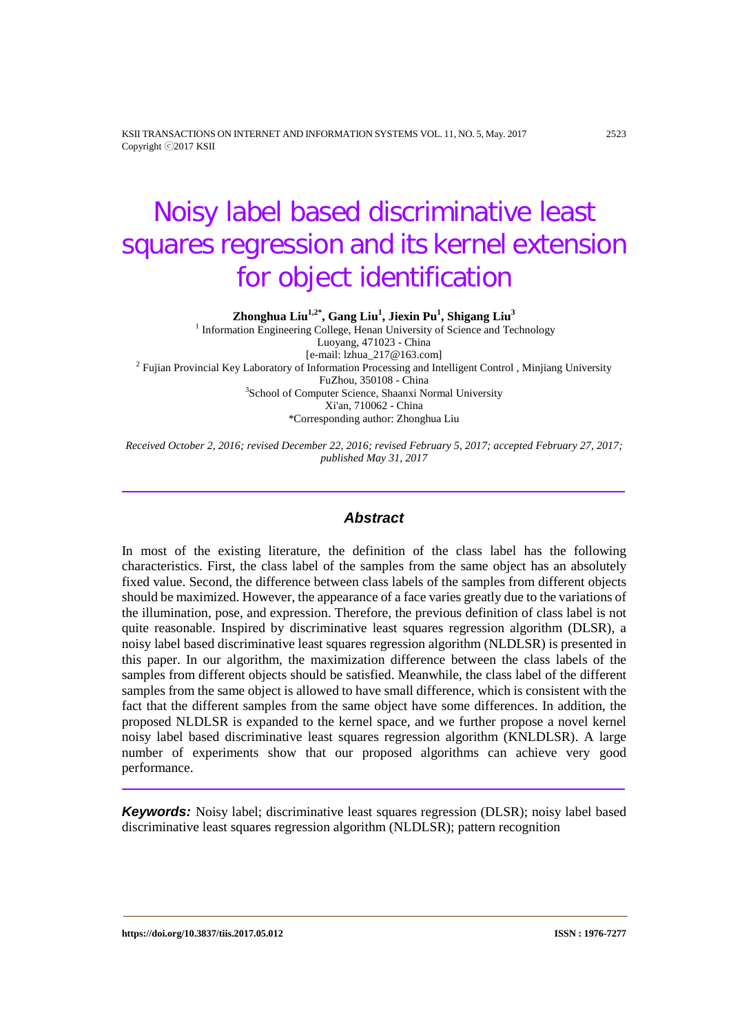KSII TRANSACTIONS ON INTERNET AND INFORMATION SYSTEMS VOL. 11, NO. 5, May. 2017 2523 Copyright ⓒ2017 KSII

# Noisy label based discriminative least squares regression and its kernel extension for object identification

**Zhonghua Liu1,2\* , Gang Liu1 , Jiexin Pu1 , Shigang Liu3**

<sup>1</sup> Information Engineering College, Henan University of Science and Technology Luoyang, 471023 - China<br>[e-mail: lzhua\_217@163.com] <sup>2</sup> Fujian Provincial Key Laboratory of Information Processing and Intelligent Control , Minjiang University FuZhou, 350108 - China FuZhou, 350108 - China <sup>3</sup> School of Computer Science, Shaanxi Normal University Xi'an, 710062 - China \*Corresponding author: Zhonghua Liu

*Received October 2, 2016; revised December 22, 2016; revised February 5, 2017; accepted February 27, 2017; published May 31, 2017*

# *Abstract*

In most of the existing literature, the definition of the class label has the following characteristics. First, the class label of the samples from the same object has an absolutely fixed value. Second, the difference between class labels of the samples from different objects should be maximized. However, the appearance of a face varies greatly due to the variations of the illumination, pose, and expression. Therefore, the previous definition of class label is not quite reasonable. Inspired by discriminative least squares regression algorithm (DLSR), a noisy label based discriminative least squares regression algorithm (NLDLSR) is presented in this paper. In our algorithm, the maximization difference between the class labels of the samples from different objects should be satisfied. Meanwhile, the class label of the different samples from the same object is allowed to have small difference, which is consistent with the fact that the different samples from the same object have some differences. In addition, the proposed NLDLSR is expanded to the kernel space, and we further propose a novel kernel noisy label based discriminative least squares regression algorithm (KNLDLSR). A large number of experiments show that our proposed algorithms can achieve very good performance.

*Keywords:* Noisy label; discriminative least squares regression (DLSR); noisy label based discriminative least squares regression algorithm (NLDLSR); pattern recognition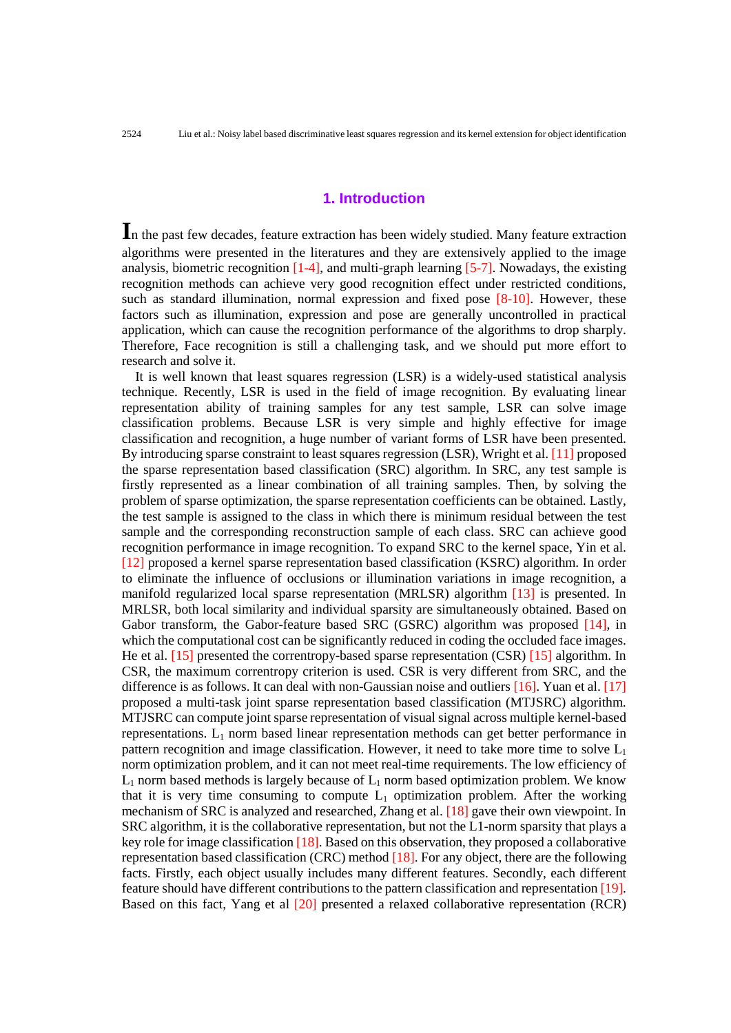# **1. Introduction**

In the past few decades, feature extraction has been widely studied. Many feature extraction algorithms were presented in the literatures and they are extensively applied to the image analysis, biometric recognition  $[1-4]$ , and multi-graph learning  $[5-7]$ . Nowadays, the existing recognition methods can achieve very good recognition effect under restricted conditions, such as standard illumination, normal expression and fixed pose [8-10]. However, these factors such as illumination, expression and pose are generally uncontrolled in practical application, which can cause the recognition performance of the algorithms to drop sharply. Therefore, Face recognition is still a challenging task, and we should put more effort to research and solve it.

It is well known that least squares regression (LSR) is a widely-used statistical analysis technique. Recently, LSR is used in the field of image recognition. By evaluating linear representation ability of training samples for any test sample, LSR can solve image classification problems. Because LSR is very simple and highly effective for image classification and recognition, a huge number of variant forms of LSR have been presented. By introducing sparse constraint to least squares regression (LSR), Wright et al. [11] proposed the sparse representation based classification (SRC) algorithm. In SRC, any test sample is firstly represented as a linear combination of all training samples. Then, by solving the problem of sparse optimization, the sparse representation coefficients can be obtained. Lastly, the test sample is assigned to the class in which there is minimum residual between the test sample and the corresponding reconstruction sample of each class. SRC can achieve good recognition performance in image recognition. To expand SRC to the kernel space, Yin et al. [12] proposed a kernel sparse representation based classification (KSRC) algorithm. In order to eliminate the influence of occlusions or illumination variations in image recognition, a manifold regularized local sparse representation (MRLSR) algorithm [13] is presented. In MRLSR, both local similarity and individual sparsity are simultaneously obtained. Based on Gabor transform, the Gabor-feature based SRC (GSRC) algorithm was proposed [14], in which the computational cost can be significantly reduced in coding the occluded face images. He et al. [15] presented the correntropy-based sparse representation (CSR) [15] algorithm. In CSR, the maximum correntropy criterion is used. CSR is very different from SRC, and the difference is as follows. It can deal with non-Gaussian noise and outliers [16]. Yuan et al. [17] proposed a multi-task joint sparse representation based classification (MTJSRC) algorithm. MTJSRC can compute joint sparse representation of visual signal across multiple kernel-based representations.  $L_1$  norm based linear representation methods can get better performance in pattern recognition and image classification. However, it need to take more time to solve  $L_1$ norm optimization problem, and it can not meet real-time requirements. The low efficiency of  $L_1$  norm based methods is largely because of  $L_1$  norm based optimization problem. We know that it is very time consuming to compute  $L_1$  optimization problem. After the working mechanism of SRC is analyzed and researched, Zhang et al. [18] gave their own viewpoint. In SRC algorithm, it is the collaborative representation, but not the L1-norm sparsity that plays a key role for image classification [18]. Based on this observation, they proposed a collaborative representation based classification (CRC) method [18]. For any object, there are the following facts. Firstly, each object usually includes many different features. Secondly, each different feature should have different contributions to the pattern classification and representation [19]. Based on this fact, Yang et al [20] presented a relaxed collaborative representation (RCR)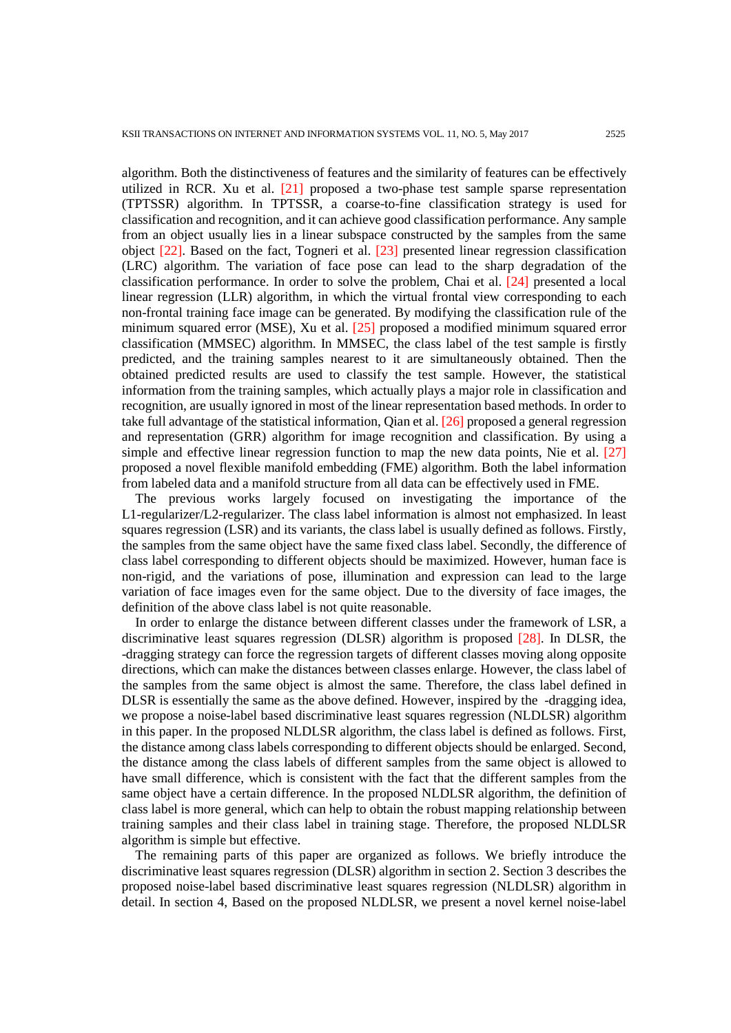algorithm. Both the distinctiveness of features and the similarity of features can be effectively utilized in RCR. Xu et al. [21] proposed a two-phase test sample sparse representation (TPTSSR) algorithm. In TPTSSR, a coarse-to-fine classification strategy is used for classification and recognition, and it can achieve good classification performance. Any sample from an object usually lies in a linear subspace constructed by the samples from the same object [22]. Based on the fact, Togneri et al. [23] presented linear regression classification (LRC) algorithm. The variation of face pose can lead to the sharp degradation of the classification performance. In order to solve the problem, Chai et al. [24] presented a local linear regression (LLR) algorithm, in which the virtual frontal view corresponding to each non-frontal training face image can be generated. By modifying the classification rule of the minimum squared error (MSE), Xu et al. [25] proposed a modified minimum squared error classification (MMSEC) algorithm. In MMSEC, the class label of the test sample is firstly predicted, and the training samples nearest to it are simultaneously obtained. Then the obtained predicted results are used to classify the test sample. However, the statistical information from the training samples, which actually plays a major role in classification and recognition, are usually ignored in most of the linear representation based methods. In order to take full advantage of the statistical information, Qian et al. [26] proposed a general regression and representation (GRR) algorithm for image recognition and classification. By using a simple and effective linear regression function to map the new data points, Nie et al. [27] proposed a novel flexible manifold embedding (FME) algorithm. Both the label information from labeled data and a manifold structure from all data can be effectively used in FME.

The previous works largely focused on investigating the importance of the L1-regularizer/L2-regularizer. The class label information is almost not emphasized. In least squares regression (LSR) and its variants, the class label is usually defined as follows. Firstly, the samples from the same object have the same fixed class label. Secondly, the difference of class label corresponding to different objects should be maximized. However, human face is non-rigid, and the variations of pose, illumination and expression can lead to the large variation of face images even for the same object. Due to the diversity of face images, the definition of the above class label is not quite reasonable.

In order to enlarge the distance between different classes under the framework of LSR, a discriminative least squares regression (DLSR) algorithm is proposed [28]. In DLSR, the -dragging strategy can force the regression targets of different classes moving along opposite directions, which can make the distances between classes enlarge. However, the class label of the samples from the same object is almost the same. Therefore, the class label defined in DLSR is essentially the same as the above defined. However, inspired by the -dragging idea, we propose a noise-label based discriminative least squares regression (NLDLSR) algorithm in this paper. In the proposed NLDLSR algorithm, the class label is defined as follows. First, the distance among class labels corresponding to different objects should be enlarged. Second, the distance among the class labels of different samples from the same object is allowed to have small difference, which is consistent with the fact that the different samples from the same object have a certain difference. In the proposed NLDLSR algorithm, the definition of class label is more general, which can help to obtain the robust mapping relationship between training samples and their class label in training stage. Therefore, the proposed NLDLSR algorithm is simple but effective.

The remaining parts of this paper are organized as follows. We briefly introduce the discriminative least squares regression (DLSR) algorithm in section 2. Section 3 describes the proposed noise-label based discriminative least squares regression (NLDLSR) algorithm in detail. In section 4, Based on the proposed NLDLSR, we present a novel kernel noise-label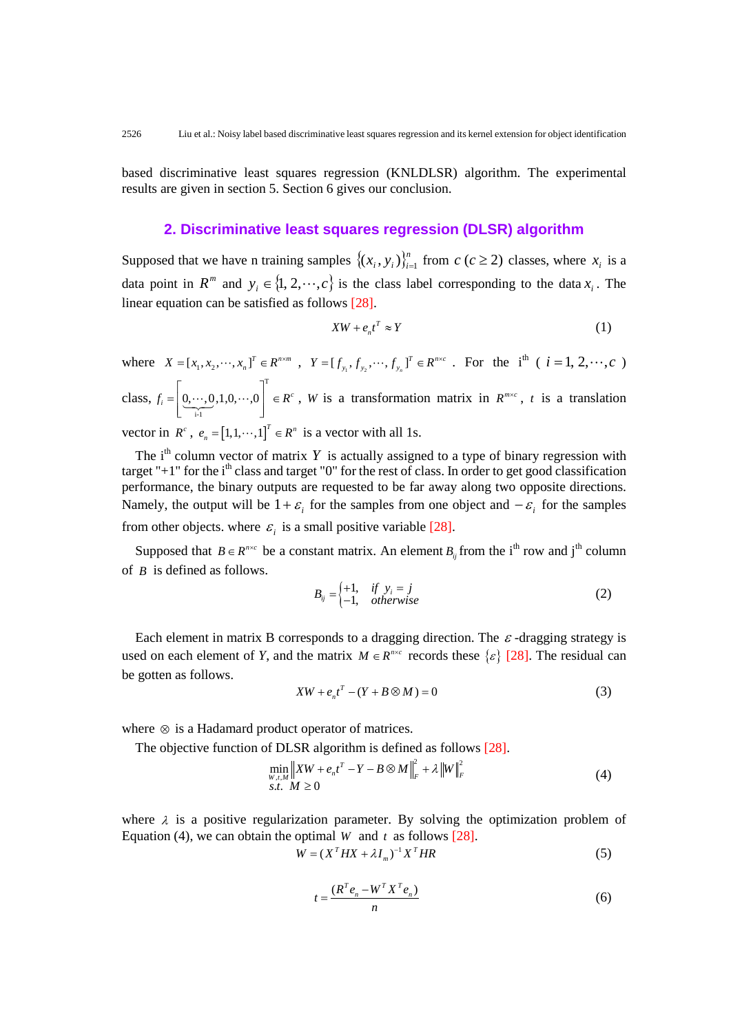based discriminative least squares regression (KNLDLSR) algorithm. The experimental results are given in section 5. Section 6 gives our conclusion.

# **2. Discriminative least squares regression (DLSR) algorithm**

Supposed that we have n training samples  $\{(x_i, y_i)\}_{i=1}^n$  from  $c$  ( $c \ge 2$ ) classes, where  $x_i$  is a data point in  $R^m$  and  $y_i \in \{1, 2, \dots, c\}$  is the class label corresponding to the data  $x_i$ . The linear equation can be satisfied as follows [28].

$$
XW + e_n t^T \approx Y \tag{1}
$$

where  $X = [x_1, x_2, \dots, x_n]^T \in R^{n \times m}$ ,  $Y = [f_{y_1}, f_{y_2}, \dots, f_{y_n}]^T \in R^{n \times c}$ . For the i<sup>th</sup> (  $i = 1, 2, \dots, c$  ) class, T i-1  $f_i = [0, \dots, 0, 1, 0, \dots, 0] \in R^c$  $\vert$ . ... .  $=\left[ \underbrace{0, \dots, 0}_{i-1}, 1, 0, \dots, 0 \right] \in R^c$ , *W* is a transformation matrix in  $R^{m \times c}$ , *t* is a translation

vector in  $R^c$ ,  $e_n = [1,1,\dots,1]^T \in R^n$  is a vector with all 1s.

The  $i<sup>th</sup>$  column vector of matrix *Y* is actually assigned to a type of binary regression with target "+1" for the  $i<sup>th</sup>$  class and target "0" for the rest of class. In order to get good classification performance, the binary outputs are requested to be far away along two opposite directions. Namely, the output will be  $1+\varepsilon$  for the samples from one object and  $-\varepsilon$  for the samples from other objects. where  $\varepsilon_i$  is a small positive variable [28].

Supposed that  $B \in R^{n \times c}$  be a constant matrix. An element  $B_{ij}$  from the i<sup>th</sup> row and j<sup>th</sup> column of *B* is defined as follows.

$$
B_{ij} = \begin{cases} +1, & \text{if } y_i = j \\ -1, & \text{otherwise} \end{cases}
$$
 (2)

Each element in matrix B corresponds to a dragging direction. The  $\varepsilon$ -dragging strategy is used on each element of *Y*, and the matrix  $M \in R^{n \times c}$  records these  $\{\varepsilon\}$  [28]. The residual can be gotten as follows.

$$
XW + e_n t^T - (Y + B \otimes M) = 0 \tag{3}
$$

where ⊗ is a Hadamard product operator of matrices.

The objective function of DLSR algorithm is defined as follows [28].

$$
\min_{\substack{W,\iota,M\\S.t. M\geq 0}} \|XW + e_n t^T - Y - B \otimes M\|_F^2 + \lambda \|W\|_F^2
$$
\n
$$
(4)
$$

where  $\lambda$  is a positive regularization parameter. By solving the optimization problem of Equation (4), we can obtain the optimal *W* and *t* as follows [28].

$$
W = (XT H X + \lambda Im)-1 XT H R
$$
\n(5)

$$
t = \frac{(R^T e_n - W^T X^T e_n)}{n}
$$
\n<sup>(6)</sup>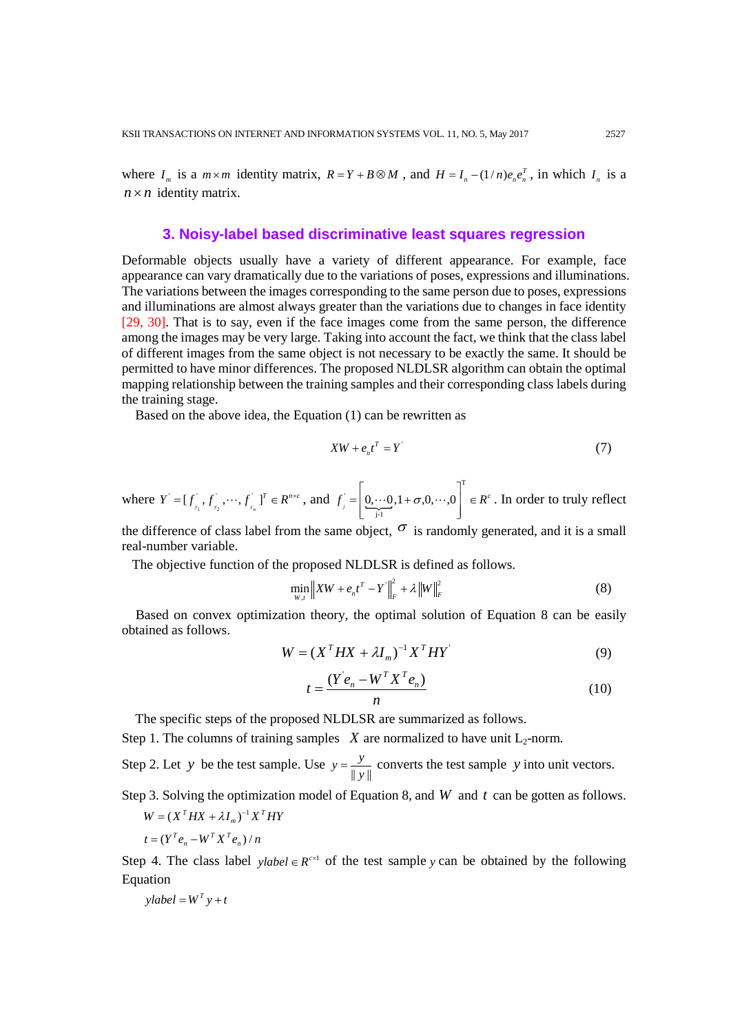where  $I_m$  is a  $m \times m$  identity matrix,  $R = Y + B \otimes M$ , and  $H = I_n - (1/n)e_n e_n^T$ , in which  $I_n$  is a  $n \times n$  identity matrix.

# **3. Noisy-label based discriminative least squares regression**

Deformable objects usually have a variety of different appearance. For example, face appearance can vary dramatically due to the variations of poses, expressions and illuminations. The variations between the images corresponding to the same person due to poses, expressions and illuminations are almost always greater than the variations due to changes in face identity [29, 30]. That is to say, even if the face images come from the same person, the difference among the images may be very large. Taking into account the fact, we think that the class label of different images from the same object is not necessary to be exactly the same. It should be permitted to have minor differences. The proposed NLDLSR algorithm can obtain the optimal mapping relationship between the training samples and their corresponding class labels during the training stage.

Based on the above idea, the Equation (1) can be rewritten as

$$
XW + e_n t^T = Y
$$
 (7)

where  $Y = [f_{y_1}^{\dagger}, f_{y_2}^{\dagger}, \cdots, f_{y_n}^{\dagger}]^T \in R^{n \times c}$ , and  $f_{j} = \left[ \underbrace{0, \cdots 0}_{j=1}, 1 + \sigma, 0, \cdots, 0 \right]^{T}$  $f_j = \left[ \underbrace{0, \cdots 0}_{j\cdot 1}, 1 + \sigma, 0, \cdots, 0 \right]^T \in R^c$  $=\begin{bmatrix} 0, \cdots 0, 1+\sigma, 0, \cdots, 0 \end{bmatrix} \in$  $\begin{bmatrix} 1 & 1 \\ 1 & 1 \end{bmatrix}$  $\cdots 0, 1+\sigma, 0, \cdots, 0$   $\in$   $\mathbb{R}^c$ . In order to truly reflect

the difference of class label from the same object,  $\sigma$  is randomly generated, and it is a small real-number variable.

The objective function of the proposed NLDLSR is defined as follows.

$$
\min_{W,t} \|XW + e_n t^T - Y\|_F^2 + \lambda \|W\|_F^2
$$
\n(8)

Based on convex optimization theory, the optimal solution of Equation 8 can be easily obtained as follows.

$$
W = (XT H X + \lambda Im)-1 XT H Y
$$
\n(9)

$$
t = \frac{(Y'e_n - W^T X^T e_n)}{n}
$$
\n(10)

The specific steps of the proposed NLDLSR are summarized as follows.

Step 1. The columns of training samples  $X$  are normalized to have unit  $L_2$ -norm.

Step 2. Let *y* be the test sample. Use  $y = \frac{y}{||y||}$  converts the test sample *y* into unit vectors.

Step 3. Solving the optimization model of Equation 8, and *W* and *t* can be gotten as follows.

$$
W = (X^T H X + \lambda I_m)^{-1} X^T H Y
$$

$$
t = (Y^T e_n - W^T X^T e_n) / n
$$

Step 4. The class label *ylabel*  $\in R^{\infty}$  of the test sample *y* can be obtained by the following Equation

 $y$ *label* =  $W^T$   $y + t$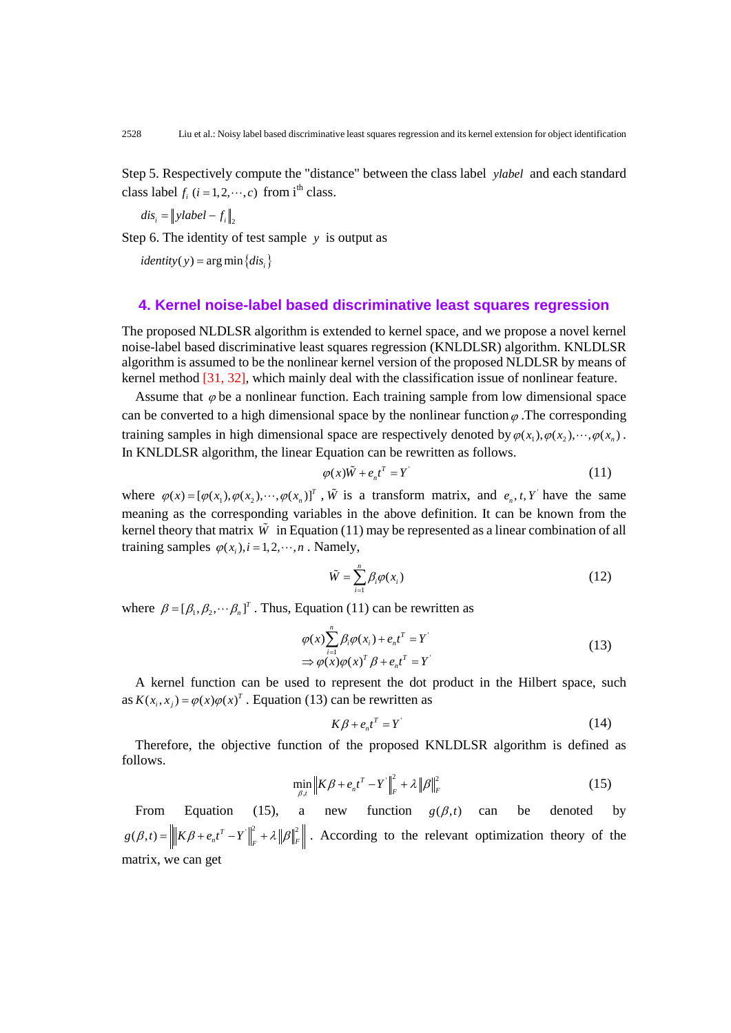Step 5. Respectively compute the "distance" between the class label *ylabel* and each standard class label  $f_i$   $(i = 1, 2, \dots, c)$  from i<sup>th</sup> class.

 $dis_i = ||$ *ylabel*  $-f_i||_2$ 

Step 6. The identity of test sample  $y$  is output as

 $identity(y) = arg min \{ dis<sub>i</sub> \}$ 

## **4. Kernel noise-label based discriminative least squares regression**

The proposed NLDLSR algorithm is extended to kernel space, and we propose a novel kernel noise-label based discriminative least squares regression (KNLDLSR) algorithm. KNLDLSR algorithm is assumed to be the nonlinear kernel version of the proposed NLDLSR by means of kernel method [31, 32], which mainly deal with the classification issue of nonlinear feature.

Assume that  $\varphi$  be a nonlinear function. Each training sample from low dimensional space can be converted to a high dimensional space by the nonlinear function  $\varphi$ . The corresponding training samples in high dimensional space are respectively denoted by  $\varphi(x_1), \varphi(x_2), \dots, \varphi(x_n)$ . In KNLDLSR algorithm, the linear Equation can be rewritten as follows.

$$
\varphi(x)\tilde{W} + e_n t^T = Y
$$
\n(11)

where  $\varphi(x) = [\varphi(x_1), \varphi(x_2), \cdots, \varphi(x_n)]^T$ ,  $\tilde{W}$  is a transform matrix, and  $e_n, t, Y$  have the same meaning as the corresponding variables in the above definition. It can be known from the kernel theory that matrix  $\tilde{W}$  in Equation (11) may be represented as a linear combination of all training samples  $\varphi$ (*x<sub>i</sub>*), *i* = 1, 2,  $\cdots$ , *n* . Namely,

$$
\tilde{W} = \sum_{i=1}^{n} \beta_i \varphi(x_i) \tag{12}
$$

where  $\beta = [\beta_1, \beta_2, \cdots, \beta_n]^T$ . Thus, Equation (11) can be rewritten as

$$
\varphi(x) \sum_{i=1}^{n} \beta_i \varphi(x_i) + e_n t^T = Y
$$
  
\n
$$
\Rightarrow \varphi(x) \varphi(x)^T \beta + e_n t^T = Y
$$
\n(13)

 A kernel function can be used to represent the dot product in the Hilbert space, such as  $K(x_i, x_j) = \varphi(x)\varphi(x)^T$ . Equation (13) can be rewritten as

$$
K\beta + e_n t^T = Y \tag{14}
$$

 Therefore, the objective function of the proposed KNLDLSR algorithm is defined as follows.

$$
\min_{\beta,t} \|K\beta + e_n t^T - Y\|_F^2 + \lambda \|\beta\|_F^2
$$
\n(15)

From Equation (15), a new function  $g(\beta,t)$  can be denoted by  $g(\beta,t) = \left\| K\beta + e_n t^T - Y \right\|_F^2 + \lambda \left\| \beta \right\|_F^2$ . According to the relevant optimization theory of the matrix, we can get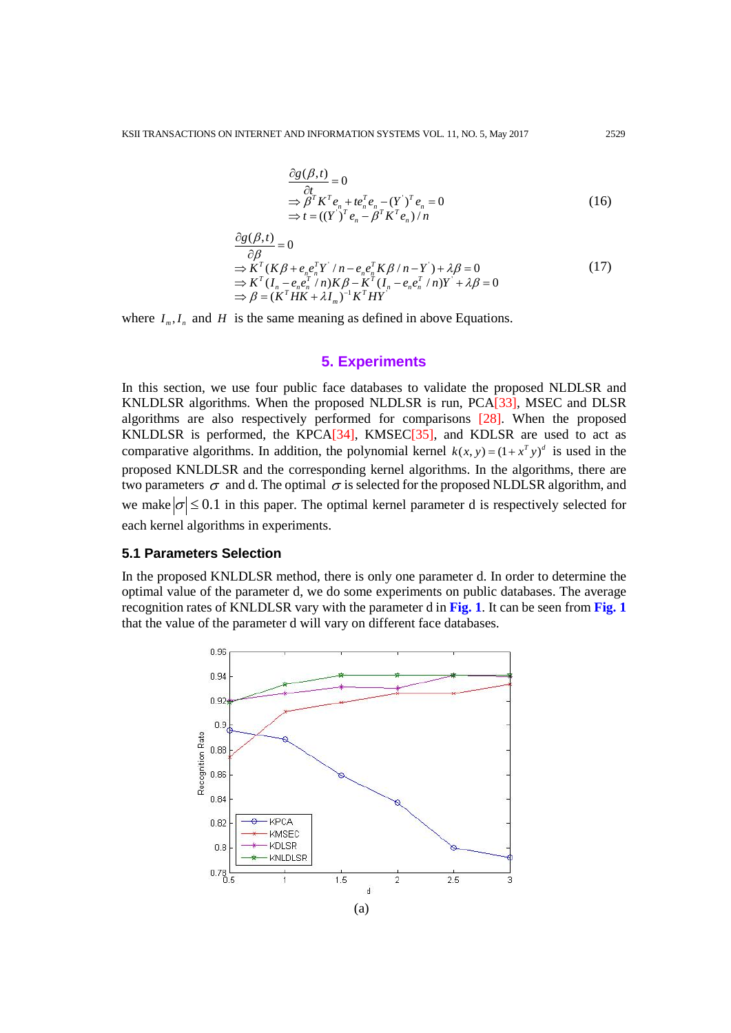$$
\frac{\partial g(\beta, t)}{\partial t} = 0
$$
\n
$$
\Rightarrow \beta^T K^T e_n + t e_n^T e_n - (Y^{\prime})^T e_n = 0
$$
\n
$$
\Rightarrow t = ((Y^{\prime})^T e_n - \beta^T K^T e_n) / n
$$
\n(16)

$$
\frac{\partial g(\beta, t)}{\partial \beta} = 0
$$
\n
$$
\Rightarrow K^{T}(K\beta + e_n e_n^{T} Y^{\prime}/n - e_n e_n^{T} K \beta / n - Y^{\prime}) + \lambda \beta = 0
$$
\n
$$
\Rightarrow K^{T}(I_n - e_n e_n^{T}/n) K \beta - K^{T}(I_n - e_n e_n^{T}/n) Y^{\prime} + \lambda \beta = 0
$$
\n
$$
\Rightarrow \beta = (K^{T} H K + \lambda I_m)^{-1} K^{T} H Y^{\prime}
$$
\n(17)

where  $I_m, I_n$  and *H* is the same meaning as defined in above Equations.

# **5. Experiments**

In this section, we use four public face databases to validate the proposed NLDLSR and KNLDLSR algorithms. When the proposed NLDLSR is run, PCA[33], MSEC and DLSR algorithms are also respectively performed for comparisons [28]. When the proposed KNLDLSR is performed, the KPCA[34], KMSEC[35], and KDLSR are used to act as comparative algorithms. In addition, the polynomial kernel  $k(x, y) = (1 + x^T y)^d$  is used in the proposed KNLDLSR and the corresponding kernel algorithms. In the algorithms, there are two parameters  $\sigma$  and d. The optimal  $\sigma$  is selected for the proposed NLDLSR algorithm, and we make  $|\sigma| \leq 0.1$  in this paper. The optimal kernel parameter d is respectively selected for each kernel algorithms in experiments.

#### **5.1 Parameters Selection**

In the proposed KNLDLSR method, there is only one parameter d. In order to determine the optimal value of the parameter d, we do some experiments on public databases. The average recognition rates of KNLDLSR vary with the parameter d in **Fig. 1**. It can be seen from **Fig. 1** that the value of the parameter d will vary on different face databases.

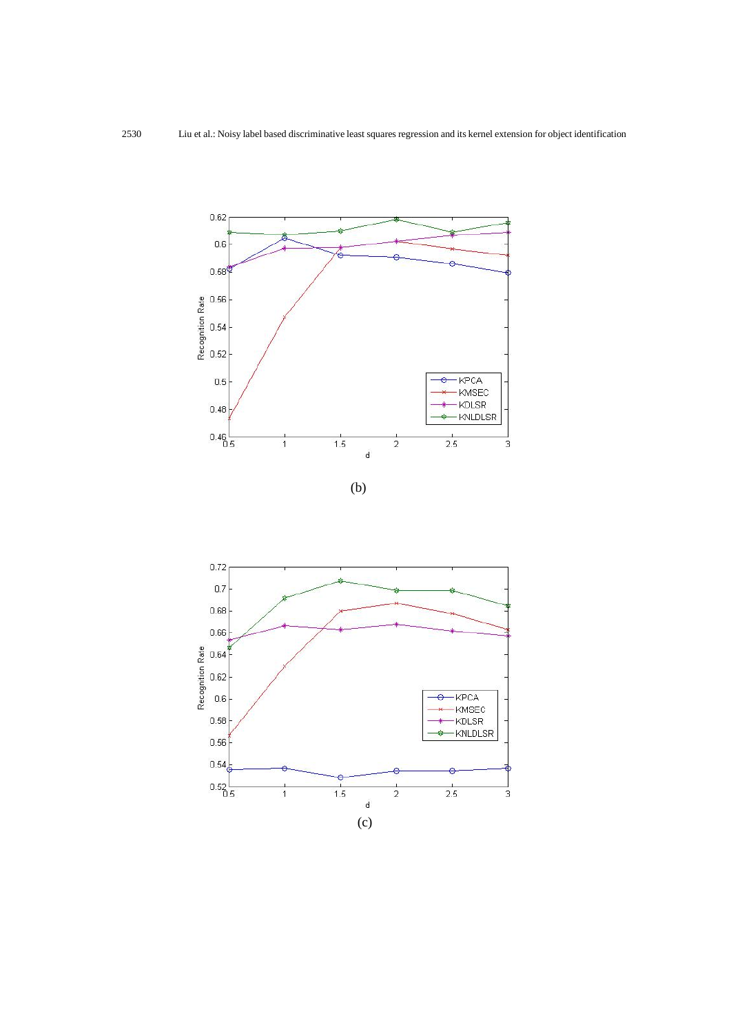

$$
(\mathrm{b})
$$

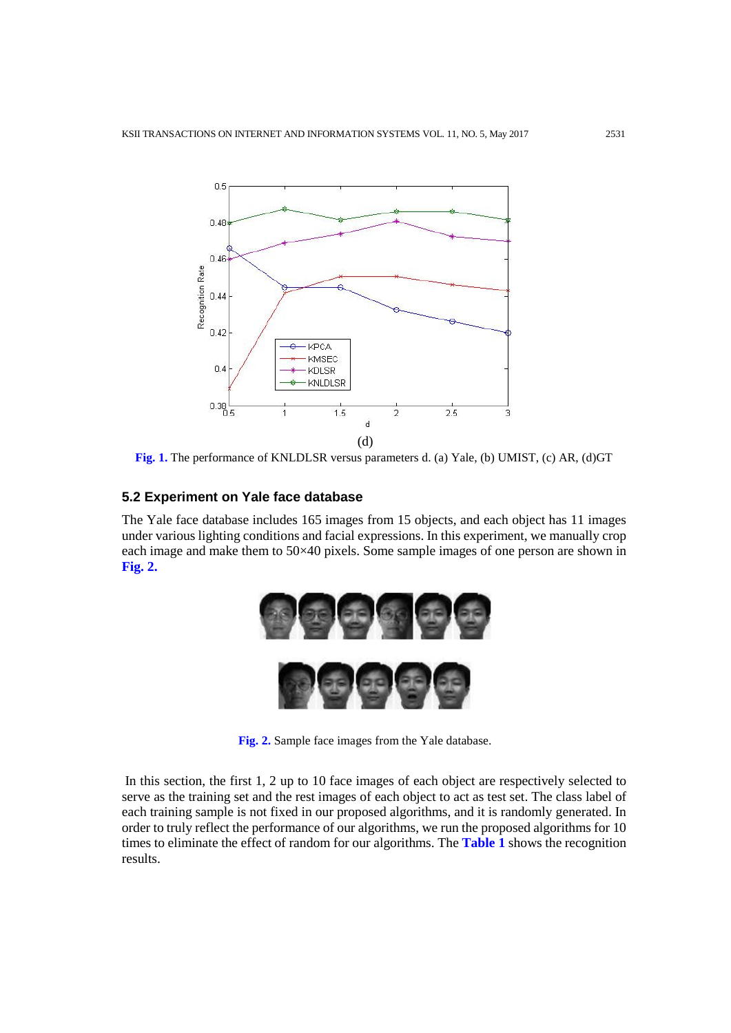

**Fig. 1.** The performance of KNLDLSR versus parameters d. (a) Yale, (b) UMIST, (c) AR, (d)GT

## **5.2 Experiment on Yale face database**

The Yale face database includes 165 images from 15 objects, and each object has 11 images under various lighting conditions and facial expressions. In this experiment, we manually crop each image and make them to 50×40 pixels. Some sample images of one person are shown in **Fig. 2.**



**Fig. 2.** Sample face images from the Yale database.

In this section, the first 1, 2 up to 10 face images of each object are respectively selected to serve as the training set and the rest images of each object to act as test set. The class label of each training sample is not fixed in our proposed algorithms, and it is randomly generated. In order to truly reflect the performance of our algorithms, we run the proposed algorithms for 10 times to eliminate the effect of random for our algorithms. The **Table 1** shows the recognition results.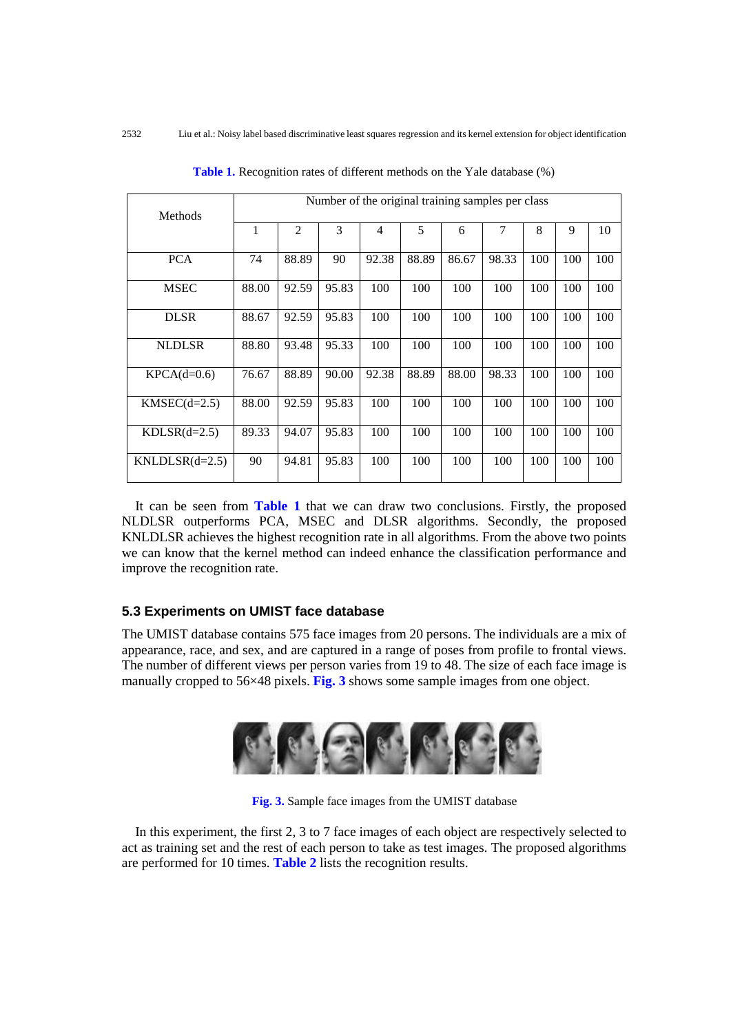| Methods          | Number of the original training samples per class |       |       |       |       |       |       |     |     |     |
|------------------|---------------------------------------------------|-------|-------|-------|-------|-------|-------|-----|-----|-----|
|                  | 1                                                 | 2     | 3     | 4     | 5     | 6     | 7     | 8   | 9   | 10  |
| <b>PCA</b>       | 74                                                | 88.89 | 90    | 92.38 | 88.89 | 86.67 | 98.33 | 100 | 100 | 100 |
| <b>MSEC</b>      | 88.00                                             | 92.59 | 95.83 | 100   | 100   | 100   | 100   | 100 | 100 | 100 |
| <b>DLSR</b>      | 88.67                                             | 92.59 | 95.83 | 100   | 100   | 100   | 100   | 100 | 100 | 100 |
| <b>NLDLSR</b>    | 88.80                                             | 93.48 | 95.33 | 100   | 100   | 100   | 100   | 100 | 100 | 100 |
| $KPCA(d=0.6)$    | 76.67                                             | 88.89 | 90.00 | 92.38 | 88.89 | 88.00 | 98.33 | 100 | 100 | 100 |
| $KMSEC(d=2.5)$   | 88.00                                             | 92.59 | 95.83 | 100   | 100   | 100   | 100   | 100 | 100 | 100 |
| $KDLSR(d=2.5)$   | 89.33                                             | 94.07 | 95.83 | 100   | 100   | 100   | 100   | 100 | 100 | 100 |
| $KNLDLSR(d=2.5)$ | 90                                                | 94.81 | 95.83 | 100   | 100   | 100   | 100   | 100 | 100 | 100 |

**Table 1.** Recognition rates of different methods on the Yale database (%)

 It can be seen from **Table 1** that we can draw two conclusions. Firstly, the proposed NLDLSR outperforms PCA, MSEC and DLSR algorithms. Secondly, the proposed KNLDLSR achieves the highest recognition rate in all algorithms. From the above two points we can know that the kernel method can indeed enhance the classification performance and improve the recognition rate.

## **5.3 Experiments on UMIST face database**

The UMIST database contains 575 face images from 20 persons. The individuals are a mix of appearance, race, and sex, and are captured in a range of poses from profile to frontal views. The number of different views per person varies from 19 to 48. The size of each face image is manually cropped to 56×48 pixels. **Fig. 3** shows some sample images from one object.



**Fig. 3.** Sample face images from the UMIST database

 In this experiment, the first 2, 3 to 7 face images of each object are respectively selected to act as training set and the rest of each person to take as test images. The proposed algorithms are performed for 10 times. **Table 2** lists the recognition results.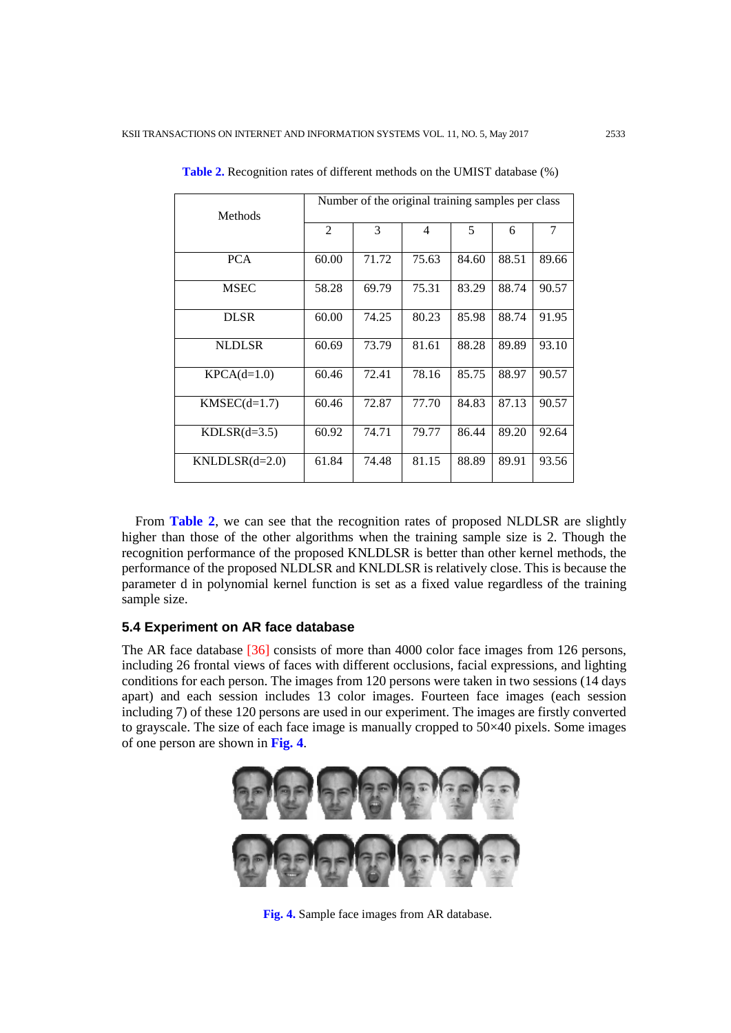| <b>Methods</b>   | Number of the original training samples per class |       |                |       |       |                |  |  |  |
|------------------|---------------------------------------------------|-------|----------------|-------|-------|----------------|--|--|--|
|                  | $\mathfrak{D}$                                    | 3     | $\overline{4}$ | 5     | 6     | $\overline{7}$ |  |  |  |
| <b>PCA</b>       | 60.00                                             | 71.72 | 75.63          | 84.60 | 88.51 | 89.66          |  |  |  |
| <b>MSEC</b>      | 58.28                                             | 69.79 | 75.31          | 83.29 | 88.74 | 90.57          |  |  |  |
| <b>DLSR</b>      | 60.00                                             | 74.25 | 80.23          | 85.98 | 88.74 | 91.95          |  |  |  |
| <b>NLDLSR</b>    | 60.69                                             | 73.79 | 81.61          | 88.28 | 89.89 | 93.10          |  |  |  |
| $KPCA(d=1.0)$    | 60.46                                             | 72.41 | 78.16          | 85.75 | 88.97 | 90.57          |  |  |  |
| $KMSEC(d=1.7)$   | 60.46                                             | 72.87 | 77.70          | 84.83 | 87.13 | 90.57          |  |  |  |
| $KDLSR(d=3.5)$   | 60.92                                             | 74.71 | 79.77          | 86.44 | 89.20 | 92.64          |  |  |  |
| $KNLDLSR(d=2.0)$ | 61.84                                             | 74.48 | 81.15          | 88.89 | 89.91 | 93.56          |  |  |  |

**Table 2.** Recognition rates of different methods on the UMIST database (%)

 From **Table 2**, we can see that the recognition rates of proposed NLDLSR are slightly higher than those of the other algorithms when the training sample size is 2. Though the recognition performance of the proposed KNLDLSR is better than other kernel methods, the performance of the proposed NLDLSR and KNLDLSR is relatively close. This is because the parameter d in polynomial kernel function is set as a fixed value regardless of the training sample size.

# **5.4 Experiment on AR face database**

The AR face database [36] consists of more than 4000 color face images from 126 persons, including 26 frontal views of faces with different occlusions, facial expressions, and lighting conditions for each person. The images from 120 persons were taken in two sessions (14 days apart) and each session includes 13 color images. Fourteen face images (each session including 7) of these 120 persons are used in our experiment. The images are firstly converted to grayscale. The size of each face image is manually cropped to 50×40 pixels. Some images of one person are shown in **Fig. 4**.



**Fig. 4.** Sample face images from AR database.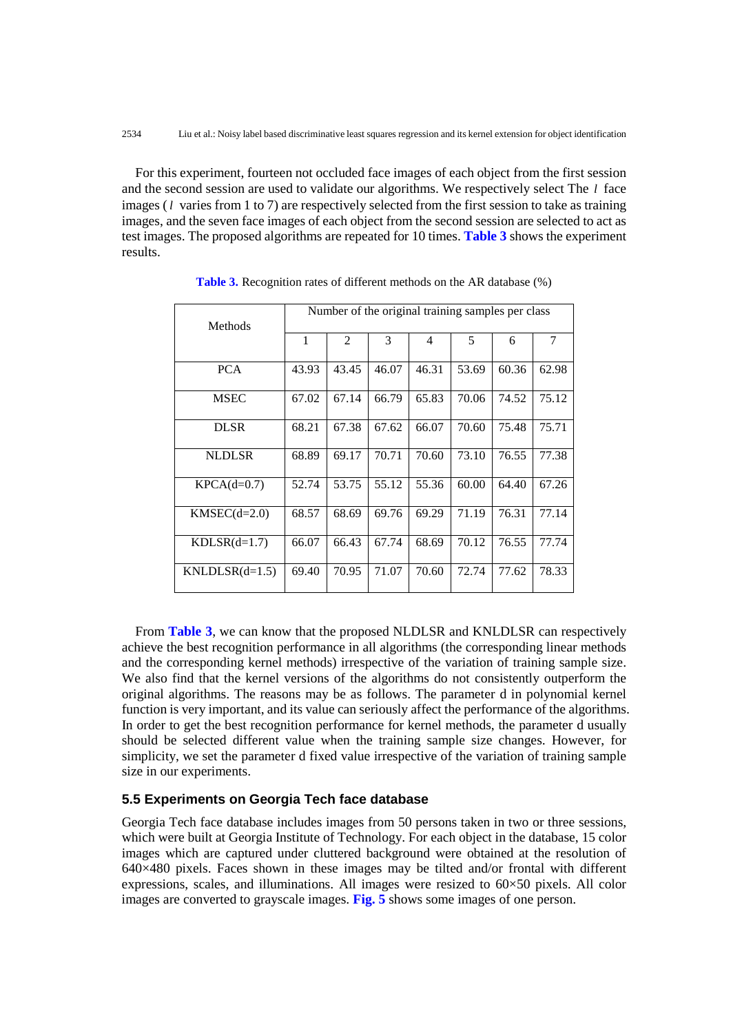For this experiment, fourteen not occluded face images of each object from the first session and the second session are used to validate our algorithms. We respectively select The *l* face images (*l* varies from 1 to 7) are respectively selected from the first session to take as training images, and the seven face images of each object from the second session are selected to act as test images. The proposed algorithms are repeated for 10 times. **Table 3** shows the experiment results.

| <b>Methods</b>   | Number of the original training samples per class |                |               |       |       |       |       |  |  |
|------------------|---------------------------------------------------|----------------|---------------|-------|-------|-------|-------|--|--|
|                  | 1                                                 | $\overline{2}$ | $\mathcal{F}$ | 4     | 5     | 6     | 7     |  |  |
| <b>PCA</b>       | 43.93                                             | 43.45          | 46.07         | 46.31 | 53.69 | 60.36 | 62.98 |  |  |
| <b>MSEC</b>      | 67.02                                             | 67.14          | 66.79         | 65.83 | 70.06 | 74.52 | 75.12 |  |  |
| <b>DLSR</b>      | 68.21                                             | 67.38          | 67.62         | 66.07 | 70.60 | 75.48 | 75.71 |  |  |
| <b>NLDLSR</b>    | 68.89                                             | 69.17          | 70.71         | 70.60 | 73.10 | 76.55 | 77.38 |  |  |
| $KPCA(d=0.7)$    | 52.74                                             | 53.75          | 55.12         | 55.36 | 60.00 | 64.40 | 67.26 |  |  |
| $KMSEC(d=2.0)$   | 68.57                                             | 68.69          | 69.76         | 69.29 | 71.19 | 76.31 | 77.14 |  |  |
| $KDLSR(d=1.7)$   | 66.07                                             | 66.43          | 67.74         | 68.69 | 70.12 | 76.55 | 77.74 |  |  |
| $KNLDLSR(d=1.5)$ | 69.40                                             | 70.95          | 71.07         | 70.60 | 72.74 | 77.62 | 78.33 |  |  |

**Table 3.** Recognition rates of different methods on the AR database (%)

 From **Table 3**, we can know that the proposed NLDLSR and KNLDLSR can respectively achieve the best recognition performance in all algorithms (the corresponding linear methods and the corresponding kernel methods) irrespective of the variation of training sample size. We also find that the kernel versions of the algorithms do not consistently outperform the original algorithms. The reasons may be as follows. The parameter d in polynomial kernel function is very important, and its value can seriously affect the performance of the algorithms. In order to get the best recognition performance for kernel methods, the parameter d usually should be selected different value when the training sample size changes. However, for simplicity, we set the parameter d fixed value irrespective of the variation of training sample size in our experiments.

# **5.5 Experiments on Georgia Tech face database**

Georgia Tech face database includes images from 50 persons taken in two or three sessions, which were built at Georgia Institute of Technology. For each object in the database, 15 color images which are captured under cluttered background were obtained at the resolution of 640×480 pixels. Faces shown in these images may be tilted and/or frontal with different expressions, scales, and illuminations. All images were resized to  $60\times50$  pixels. All color images are converted to grayscale images. **Fig. 5** shows some images of one person.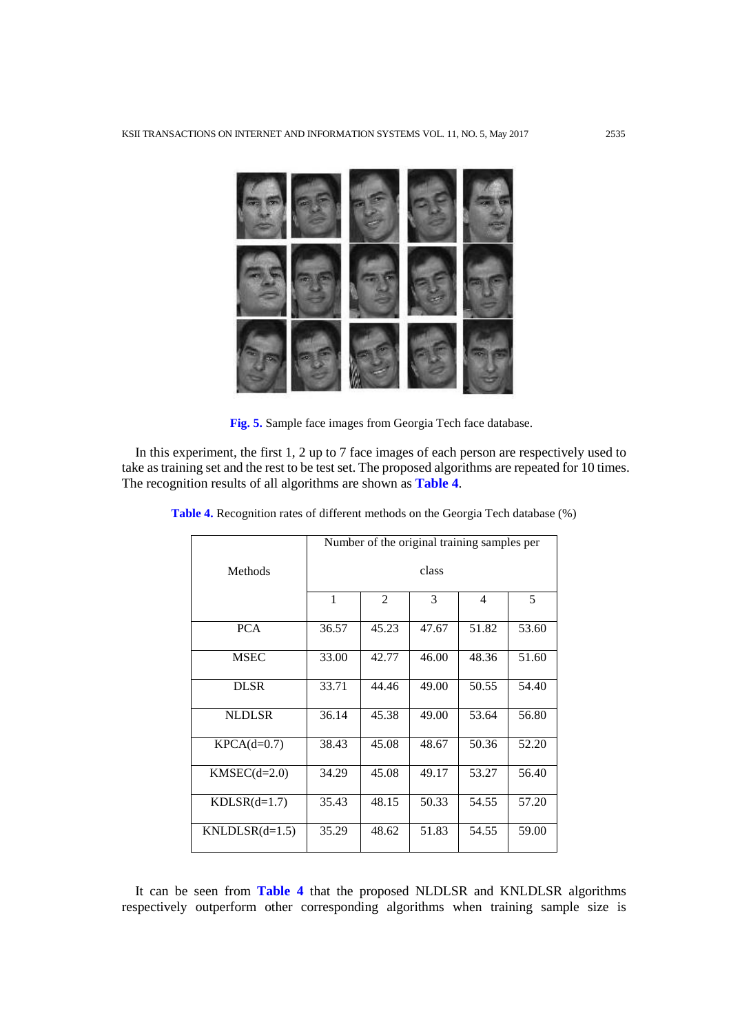

**Fig. 5.** Sample face images from Georgia Tech face database.

 In this experiment, the first 1, 2 up to 7 face images of each person are respectively used to take as training set and the rest to be test set. The proposed algorithms are repeated for 10 times. The recognition results of all algorithms are shown as **Table 4**.

|                  | Number of the original training samples per |       |       |                |       |  |  |  |
|------------------|---------------------------------------------|-------|-------|----------------|-------|--|--|--|
| <b>Methods</b>   | class                                       |       |       |                |       |  |  |  |
|                  | $\mathbf{1}$                                | 2     | 3     | $\overline{4}$ | 5     |  |  |  |
| <b>PCA</b>       | 36.57                                       | 45.23 | 47.67 | 51.82          | 53.60 |  |  |  |
| <b>MSEC</b>      | 33.00                                       | 42.77 | 46.00 | 48.36          | 51.60 |  |  |  |
| <b>DLSR</b>      | 33.71                                       | 44.46 | 49.00 | 50.55          | 54.40 |  |  |  |
| <b>NLDLSR</b>    | 36.14                                       | 45.38 | 49.00 | 53.64          | 56.80 |  |  |  |
| $KPCA(d=0.7)$    | 38.43                                       | 45.08 | 48.67 | 50.36          | 52.20 |  |  |  |
| $KMSEC(d=2.0)$   | 34.29                                       | 45.08 | 49.17 | 53.27          | 56.40 |  |  |  |
| $KDLSR(d=1.7)$   | 35.43                                       | 48.15 | 50.33 | 54.55          | 57.20 |  |  |  |
| $KNLDLSR(d=1.5)$ | 35.29                                       | 48.62 | 51.83 | 54.55          | 59.00 |  |  |  |

**Table 4.** Recognition rates of different methods on the Georgia Tech database (%)

 It can be seen from **Table 4** that the proposed NLDLSR and KNLDLSR algorithms respectively outperform other corresponding algorithms when training sample size is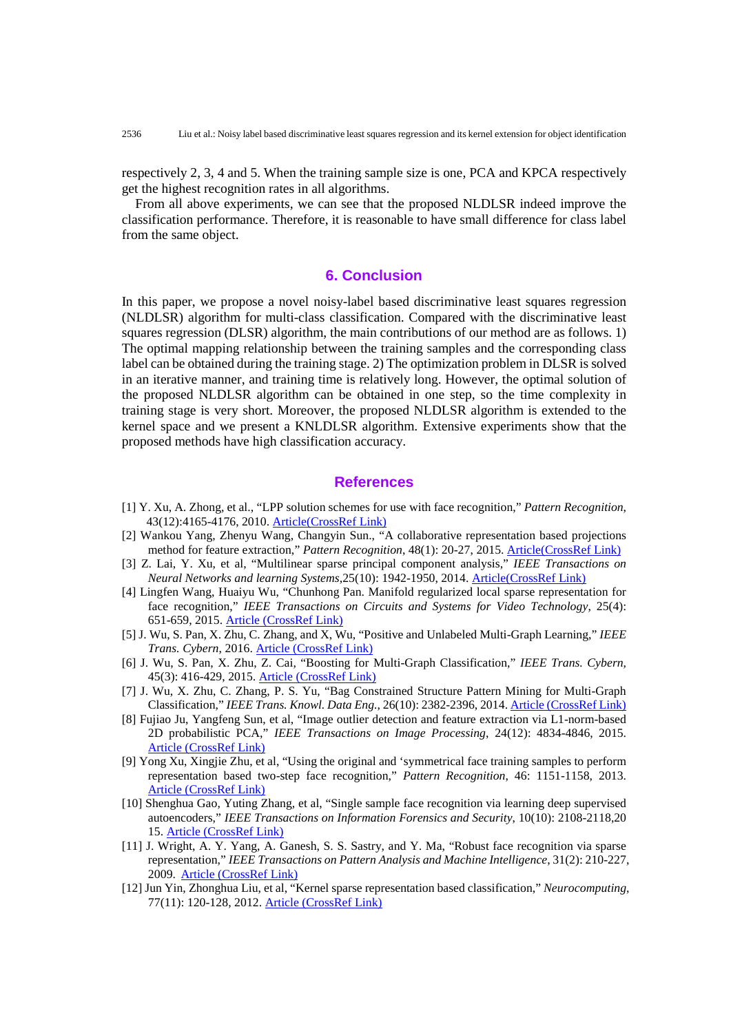respectively 2, 3, 4 and 5. When the training sample size is one, PCA and KPCA respectively get the highest recognition rates in all algorithms.

 From all above experiments, we can see that the proposed NLDLSR indeed improve the classification performance. Therefore, it is reasonable to have small difference for class label from the same object.

## **6. Conclusion**

In this paper, we propose a novel noisy-label based discriminative least squares regression (NLDLSR) algorithm for multi-class classification. Compared with the discriminative least squares regression (DLSR) algorithm, the main contributions of our method are as follows. 1) The optimal mapping relationship between the training samples and the corresponding class label can be obtained during the training stage. 2) The optimization problem in DLSR is solved in an iterative manner, and training time is relatively long. However, the optimal solution of the proposed NLDLSR algorithm can be obtained in one step, so the time complexity in training stage is very short. Moreover, the proposed NLDLSR algorithm is extended to the kernel space and we present a KNLDLSR algorithm. Extensive experiments show that the proposed methods have high classification accuracy.

# **References**

- [1] Y. Xu, A. Zhong, et al., "LPP solution schemes for use with face recognition," *Pattern Recognition*, 43(12):4165-4176, 2010. [Article\(CrossRef Link\)](https://DOI:10.1016/j.patcog.2010.06.016)
- [2] Wankou Yang, Zhenyu Wang, Changyin Sun., "A collaborative representation based projections method for feature extraction," *Pattern Recognition*, 48(1): 20-27, 2015. [Article\(CrossRef Link\)](https://DOI:10.1016/j.patcog.2014.07.009)
- [3] Z. Lai, Y. Xu, et al, "Multilinear sparse principal component analysis," *IEEE Transactions on Neural Networks and learning Systems*,25(10): 1942-1950, 2014. [Article\(CrossRef Link\)](https://doi.org/10.1109/TNNLS.20132297381)
- [4] Lingfen Wang, Huaiyu Wu, "Chunhong Pan. Manifold regularized local sparse representation for face recognition," *IEEE Transactions on Circuits and Systems for Video Technology*, 25(4): 651-659, 2015. [Article \(CrossRef Link\)](https://doi.org/10.1109/TCSVT.2014.2335851)
- [5] J. Wu, S. Pan, X. Zhu, C. Zhang, and X, Wu, "Positive and Unlabeled Multi-Graph Learning," *IEEE Trans. Cybern*, 2016. [Article \(CrossRef Link\)](https://doi.org/10.1109/TCYB.2016.2527239)
- [6] J. Wu, S. Pan, X. Zhu, Z. Cai, "Boosting for Multi-Graph Classification," *IEEE Trans. Cybern*, 45(3): 416-429, 2015. [Article \(CrossRef Link\)](doi:%C2%A010.1109/TCYB.2014.2327111)
- [7] J. Wu, X. Zhu, C. Zhang, P. S. Yu, "Bag Constrained Structure Pattern Mining for Multi-Graph Classification," *IEEE Trans. Knowl. Data Eng.*, 26(10): 2382-2396, 2014. [Article \(CrossRef Link\)](https://doi.org/10.1109/TKDE.2013.2297923)
- [8] Fujiao Ju, Yangfeng Sun, et al, "Image outlier detection and feature extraction via L1-norm-based 2D probabilistic PCA," *IEEE Transactions on Image Processing*, 24(12): 4834-4846, 2015. [Article \(CrossRef Link\)](https://doi.org/10.1109/TIP.2015.2469136)
- [9] Yong Xu, Xingjie Zhu, et al, "Using the original and 'symmetrical face training samples to perform representation based two-step face recognition," *Pattern Recognition*, 46: 1151-1158, 2013. [Article \(CrossRef Link\)](https://DOI:10.1016/j.patcog.2012.11.003)
- [10] Shenghua Gao, Yuting Zhang, et al, "Single sample face recognition via learning deep supervised autoencoders," *IEEE Transactions on Information Forensics and Security*, 10(10): 2108-2118,20 15. [Article \(CrossRef Link\)](https://doi.org/10.1109/TIFS.2015.2446438)
- [11] J. Wright, A. Y. Yang, A. Ganesh, S. S. Sastry, and Y. Ma, "Robust face recognition via sparse representation," *IEEE Transactions on Pattern Analysis and Machine Intelligence*, 31(2): 210-227, 2009. [Article \(CrossRef Link\)](https://doi.org/10.1109/TPAMI.2008.79)
- [12] Jun Yin, Zhonghua Liu, et al, "Kernel sparse representation based classification," *Neurocomputing*, 77(11): 120-128, 2012. [Article \(CrossRef Link\)](https://DOI:10.1016/j.neucom.2011.08.018)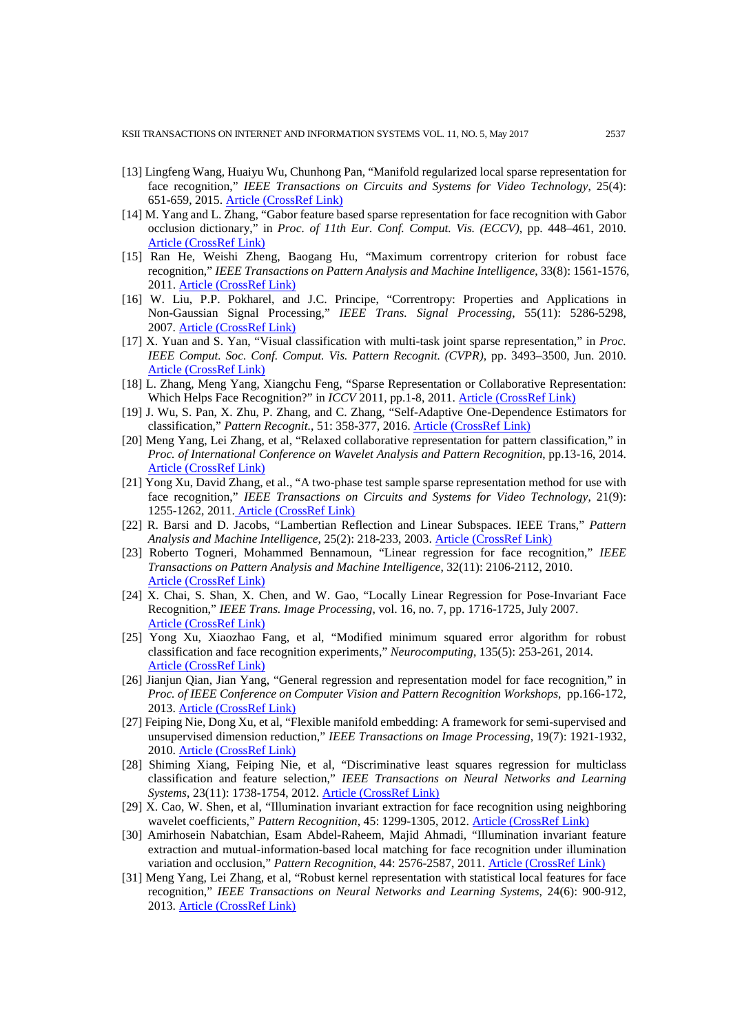- [13] Lingfeng Wang, Huaiyu Wu, Chunhong Pan, "Manifold regularized local sparse representation for face recognition," *IEEE Transactions on Circuits and Systems for Video Technology*, 25(4): 651-659, 2015. [Article \(CrossRef Link\)](https://doi.org/10.1109/TCSVT.2014.2335851)
- [14] M. Yang and L. Zhang, "Gabor feature based sparse representation for face recognition with Gabor occlusion dictionary," in *Proc. of 11th Eur. Conf. Comput. Vis. (ECCV)*, pp. 448–461, 2010. [Article \(CrossRef Link\)](https://DOI:10.1007/978-3-642-15567-3_33)
- [15] Ran He, Weishi Zheng, Baogang Hu, "Maximum correntropy criterion for robust face recognition," *IEEE Transactions on Pattern Analysis and Machine Intelligence*, 33(8): 1561-1576, 2011. [Article \(CrossRef Link\)](https://doi.org/10.1109/TPAMI.2010.220)
- [16] W. Liu, P.P. Pokharel, and J.C. Principe, "Correntropy: Properties and Applications in Non-Gaussian Signal Processing," *IEEE Trans. Signal Processing*, 55(11): 5286-5298, 2007. [Article \(CrossRef Link\)](https://doi.org/10.1109/TSP.2007.896065)
- [17] X. Yuan and S. Yan, "Visual classification with multi-task joint sparse representation," in *Proc. IEEE Comput. Soc. Conf. Comput. Vis. Pattern Recognit. (CVPR)*, pp. 3493–3500, Jun. 2010. [Article \(CrossRef Link\)](https://doi.org/10.1109/CVPR.2010.5539967)
- [18] L. Zhang, Meng Yang, Xiangchu Feng, "Sparse Representation or Collaborative Representation: Which Helps Face Recognition?" in *ICCV* 2011, pp.1-8, 2011. **[Article \(CrossRef Link\)](https://doi.org/10.1109/ICCV.2011.6126277)**
- [19] J. Wu, S. Pan, X. Zhu, P. Zhang, and C. Zhang, "Self-Adaptive One-Dependence Estimators for classification," *Pattern Recognit.*, 51: 358-377, 2016. [Article \(CrossRef Link\)](https://DOI:10.1016/j.patcog.2015.08.023)
- [20] Meng Yang, Lei Zhang, et al, "Relaxed collaborative representation for pattern classification," in *Proc. of International Conference on Wavelet Analysis and Pattern Recognition*, pp.13-16, 2014. [Article \(CrossRef Link\)](https://doi.org/10.1109/CVPR.2012.6247931)
- [21] Yong Xu, David Zhang, et al., "A two-phase test sample sparse representation method for use with face recognition," *IEEE Transactions on Circuits and Systems for Video Technology*, 21(9): 1255-1262, 2011. [Article \(CrossRef Link\)](https://doi.org/10.1109/TCSVT.2011.2138790)
- [22] R. Barsi and D. Jacobs, "Lambertian Reflection and Linear Subspaces. IEEE Trans," *Pattern Analysis and Machine Intelligence*, 25(2): 218-233, 2003. [Article \(CrossRef Link\)](https://doi.org/10.1109/ICCV.2001.937651)
- [23] Roberto Togneri, Mohammed Bennamoun, "Linear regression for face recognition," *IEEE Transactions on Pattern Analysis and Machine Intelligence*, 32(11): 2106-2112, 2010. [Article \(CrossRef Link\)](https://doi.org/10.1109/ICPR.2010.289)
- [24] X. Chai, S. Shan, X. Chen, and W. Gao, "Locally Linear Regression for Pose-Invariant Face Recognition," *IEEE Trans. Image Processing*, vol. 16, no. 7, pp. 1716-1725, July 2007. [Article \(CrossRef Link\)](https://doi.org/10.1109/TIP.2007.899195)
- [25] Yong Xu, Xiaozhao Fang, et al, "Modified minimum squared error algorithm for robust classification and face recognition experiments," *Neurocomputing*, 135(5): 253-261, 2014. [Article \(CrossRef Link\)](https://DOI:10.1016/j.neucom.2013.12.025)
- [26] Jianjun Qian, Jian Yang, "General regression and representation model for face recognition," in *Proc. of IEEE Conference on Computer Vision and Pattern Recognition Workshops*, pp.166-172, 2013. [Article \(CrossRef Link\)](https://doi.org/10.1109/CVPRW.2013.32)
- [27] Feiping Nie, Dong Xu, et al, "Flexible manifold embedding: A framework for semi-supervised and unsupervised dimension reduction," *IEEE Transactions on Image Processing*, 19(7): 1921-1932, 2010. [Article \(CrossRef Link\)](https://doi.org/10.1109/TIP.2010.2044958)
- [28] Shiming Xiang, Feiping Nie, et al, "Discriminative least squares regression for multiclass classification and feature selection," *IEEE Transactions on Neural Networks and Learning Systems*, 23(11): 1738-1754, 2012. [Article \(CrossRef Link\)](https://doi.org/10.1109/TNNLS.2012.2212721)
- [29] X. Cao, W. Shen, et al, "Illumination invariant extraction for face recognition using neighboring wavelet coefficients," *Pattern Recognition*, 45: 1299-1305, 2012. [Article \(CrossRef Link\)](https://DOI:10.1016/j.patcog.2011.09.010)
- [30] Amirhosein Nabatchian, Esam Abdel-Raheem, Majid Ahmadi, "Illumination invariant feature extraction and mutual-information-based local matching for face recognition under illumination variation and occlusion," *Pattern Recognition*, 44: 2576-2587, 2011. [Article \(CrossRef](https://DOI:10.1016/j.patcog.2011.03.012) Link)
- [31] Meng Yang, Lei Zhang, et al, "Robust kernel representation with statistical local features for face recognition," *IEEE Transactions on Neural Networks and Learning Systems*, 24(6): 900-912, 2013. [Article \(CrossRef Link\)](https://doi.org/10.1109/TNNLS.2013.2245340)